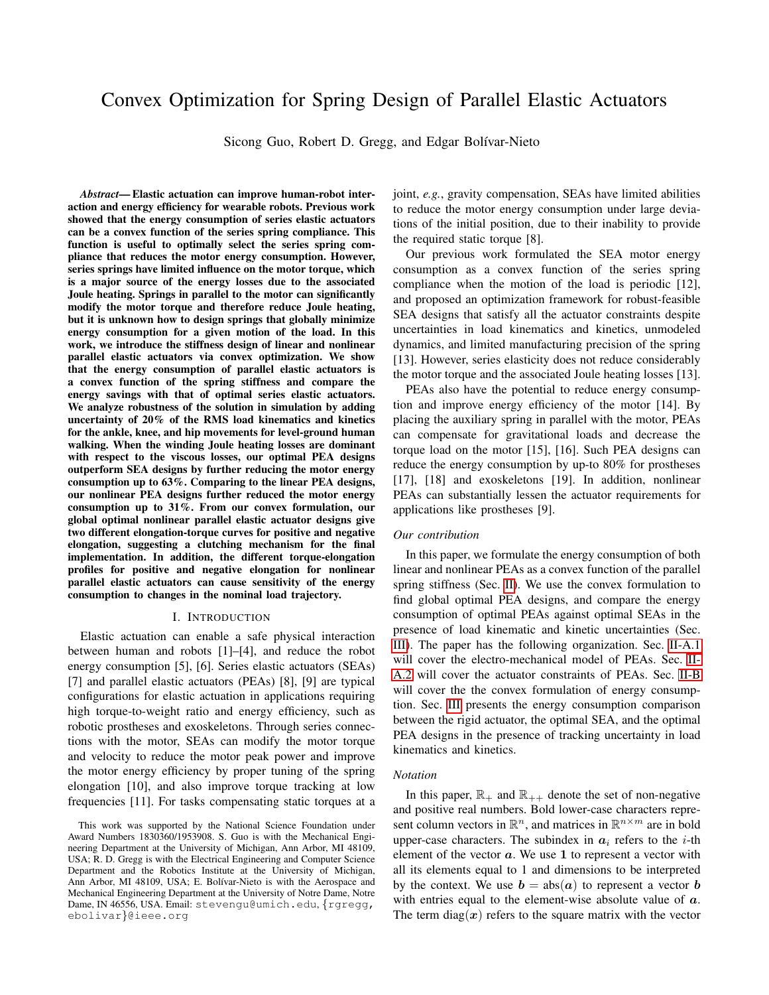# Convex Optimization for Spring Design of Parallel Elastic Actuators

Sicong Guo, Robert D. Gregg, and Edgar Bolívar-Nieto

*Abstract*— Elastic actuation can improve human-robot interaction and energy efficiency for wearable robots. Previous work showed that the energy consumption of series elastic actuators can be a convex function of the series spring compliance. This function is useful to optimally select the series spring compliance that reduces the motor energy consumption. However, series springs have limited influence on the motor torque, which is a major source of the energy losses due to the associated Joule heating. Springs in parallel to the motor can significantly modify the motor torque and therefore reduce Joule heating, but it is unknown how to design springs that globally minimize energy consumption for a given motion of the load. In this work, we introduce the stiffness design of linear and nonlinear parallel elastic actuators via convex optimization. We show that the energy consumption of parallel elastic actuators is a convex function of the spring stiffness and compare the energy savings with that of optimal series elastic actuators. We analyze robustness of the solution in simulation by adding uncertainty of 20% of the RMS load kinematics and kinetics for the ankle, knee, and hip movements for level-ground human walking. When the winding Joule heating losses are dominant with respect to the viscous losses, our optimal PEA designs outperform SEA designs by further reducing the motor energy consumption up to 63%. Comparing to the linear PEA designs, our nonlinear PEA designs further reduced the motor energy consumption up to 31%. From our convex formulation, our global optimal nonlinear parallel elastic actuator designs give two different elongation-torque curves for positive and negative elongation, suggesting a clutching mechanism for the final implementation. In addition, the different torque-elongation profiles for positive and negative elongation for nonlinear parallel elastic actuators can cause sensitivity of the energy consumption to changes in the nominal load trajectory.

#### I. INTRODUCTION

Elastic actuation can enable a safe physical interaction between human and robots [1]–[4], and reduce the robot energy consumption [5], [6]. Series elastic actuators (SEAs) [7] and parallel elastic actuators (PEAs) [8], [9] are typical configurations for elastic actuation in applications requiring high torque-to-weight ratio and energy efficiency, such as robotic prostheses and exoskeletons. Through series connections with the motor, SEAs can modify the motor torque and velocity to reduce the motor peak power and improve the motor energy efficiency by proper tuning of the spring elongation [10], and also improve torque tracking at low frequencies [11]. For tasks compensating static torques at a joint, *e.g.*, gravity compensation, SEAs have limited abilities to reduce the motor energy consumption under large deviations of the initial position, due to their inability to provide the required static torque [8].

Our previous work formulated the SEA motor energy consumption as a convex function of the series spring compliance when the motion of the load is periodic [12], and proposed an optimization framework for robust-feasible SEA designs that satisfy all the actuator constraints despite uncertainties in load kinematics and kinetics, unmodeled dynamics, and limited manufacturing precision of the spring [13]. However, series elasticity does not reduce considerably the motor torque and the associated Joule heating losses [13].

PEAs also have the potential to reduce energy consumption and improve energy efficiency of the motor [14]. By placing the auxiliary spring in parallel with the motor, PEAs can compensate for gravitational loads and decrease the torque load on the motor [15], [16]. Such PEA designs can reduce the energy consumption by up-to 80% for prostheses [17], [18] and exoskeletons [19]. In addition, nonlinear PEAs can substantially lessen the actuator requirements for applications like prostheses [9].

## *Our contribution*

In this paper, we formulate the energy consumption of both linear and nonlinear PEAs as a convex function of the parallel spring stiffness (Sec. [II\)](#page-1-0). We use the convex formulation to find global optimal PEA designs, and compare the energy consumption of optimal PEAs against optimal SEAs in the presence of load kinematic and kinetic uncertainties (Sec. [III\)](#page-3-0). The paper has the following organization. Sec. [II-A.1](#page-1-1) will cover the electro-mechanical model of PEAs. Sec. [II-](#page-1-2)[A.2](#page-1-2) will cover the actuator constraints of PEAs. Sec. [II-B](#page-1-3) will cover the the convex formulation of energy consumption. Sec. [III](#page-3-0) presents the energy consumption comparison between the rigid actuator, the optimal SEA, and the optimal PEA designs in the presence of tracking uncertainty in load kinematics and kinetics.

#### *Notation*

In this paper,  $\mathbb{R}_+$  and  $\mathbb{R}_{++}$  denote the set of non-negative and positive real numbers. Bold lower-case characters represent column vectors in  $\mathbb{R}^n$ , and matrices in  $\mathbb{R}^{n \times m}$  are in bold upper-case characters. The subindex in  $a_i$  refers to the *i*-th element of the vector  $a$ . We use 1 to represent a vector with all its elements equal to 1 and dimensions to be interpreted by the context. We use  $\mathbf{b} = \text{abs}(\mathbf{a})$  to represent a vector  $\mathbf{b}$ with entries equal to the element-wise absolute value of  $\boldsymbol{a}$ . The term diag(x) refers to the square matrix with the vector

This work was supported by the National Science Foundation under Award Numbers 1830360/1953908. S. Guo is with the Mechanical Engineering Department at the University of Michigan, Ann Arbor, MI 48109, USA; R. D. Gregg is with the Electrical Engineering and Computer Science Department and the Robotics Institute at the University of Michigan, Ann Arbor, MI 48109, USA; E. Bolívar-Nieto is with the Aerospace and Mechanical Engineering Department at the University of Notre Dame, Notre Dame, IN 46556, USA. Email: stevengu@umich.edu, {rgregg, ebolivar}@ieee.org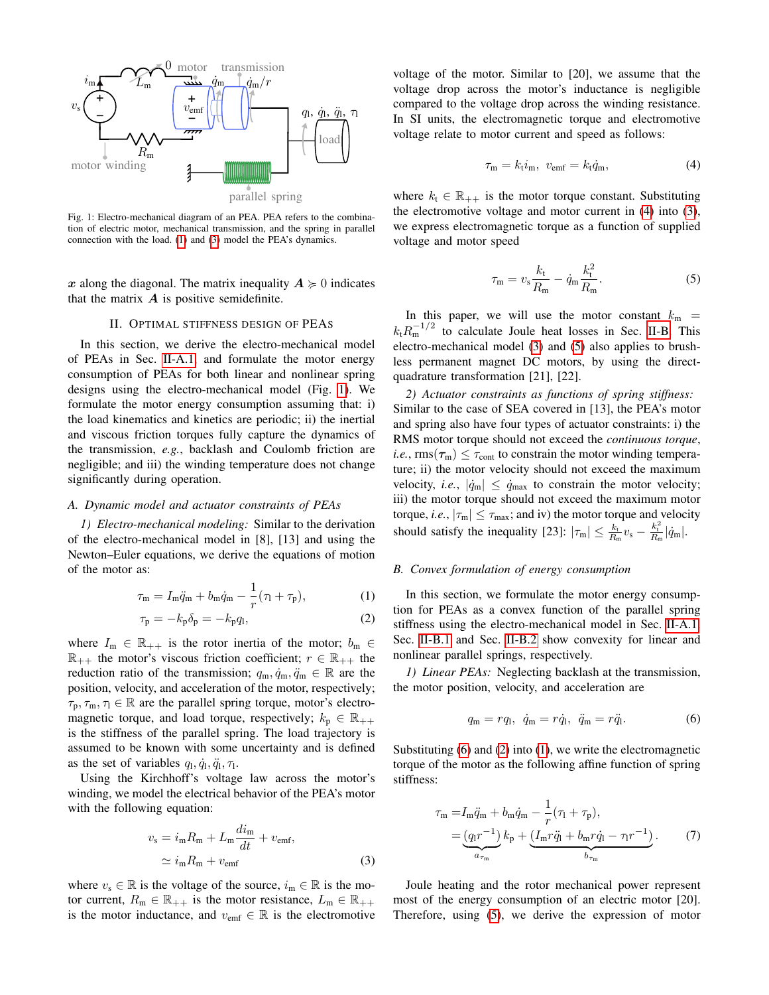<span id="page-1-6"></span>

Fig. 1: Electro-mechanical diagram of an PEA. PEA refers to the combination of electric motor, mechanical transmission, and the spring in parallel connection with the load. [\(1\)](#page-1-4) and [\(3\)](#page-1-5) model the PEA's dynamics.

x along the diagonal. The matrix inequality  $A \geq 0$  indicates that the matrix  $\boldsymbol{A}$  is positive semidefinite.

#### II. OPTIMAL STIFFNESS DESIGN OF PEAS

<span id="page-1-0"></span>In this section, we derive the electro-mechanical model of PEAs in Sec. [II-A.1,](#page-1-1) and formulate the motor energy consumption of PEAs for both linear and nonlinear spring designs using the electro-mechanical model (Fig. [1\)](#page-1-6). We formulate the motor energy consumption assuming that: i) the load kinematics and kinetics are periodic; ii) the inertial and viscous friction torques fully capture the dynamics of the transmission, *e.g.*, backlash and Coulomb friction are negligible; and iii) the winding temperature does not change significantly during operation.

## *A. Dynamic model and actuator constraints of PEAs*

<span id="page-1-1"></span>*1) Electro-mechanical modeling:* Similar to the derivation of the electro-mechanical model in [8], [13] and using the Newton–Euler equations, we derive the equations of motion of the motor as:

$$
\tau_{\rm m} = I_{\rm m}\ddot{q}_{\rm m} + b_{\rm m}\dot{q}_{\rm m} - \frac{1}{r}(\tau_{\rm l} + \tau_{\rm p}),\tag{1}
$$

$$
\tau_{\mathbf{p}} = -k_{\mathbf{p}} \delta_{\mathbf{p}} = -k_{\mathbf{p}} q_{1},\tag{2}
$$

where  $I_m \in \mathbb{R}_{++}$  is the rotor inertia of the motor;  $b_m \in$  $\mathbb{R}_{++}$  the motor's viscous friction coefficient;  $r \in \mathbb{R}_{++}$  the reduction ratio of the transmission;  $q_m, \dot{q}_m, \ddot{q}_m \in \mathbb{R}$  are the position, velocity, and acceleration of the motor, respectively;  $\tau_p, \tau_m, \tau_l \in \mathbb{R}$  are the parallel spring torque, motor's electromagnetic torque, and load torque, respectively;  $k_p \in \mathbb{R}_{++}$ is the stiffness of the parallel spring. The load trajectory is assumed to be known with some uncertainty and is defined as the set of variables  $q_1, \dot{q}_1, \ddot{q}_1, \tau_1$ .

Using the Kirchhoff's voltage law across the motor's winding, we model the electrical behavior of the PEA's motor with the following equation:

$$
v_{\rm s} = i_{\rm m} R_{\rm m} + L_{\rm m} \frac{di_{\rm m}}{dt} + v_{\rm emf},
$$
  

$$
\simeq i_{\rm m} R_{\rm m} + v_{\rm emf}
$$
 (3)

where  $v_s \in \mathbb{R}$  is the voltage of the source,  $i_m \in \mathbb{R}$  is the motor current,  $R_m \in \mathbb{R}_{++}$  is the motor resistance,  $L_m \in \mathbb{R}_{++}$ is the motor inductance, and  $v_{\text{emf}} \in \mathbb{R}$  is the electromotive voltage of the motor. Similar to [20], we assume that the voltage drop across the motor's inductance is negligible compared to the voltage drop across the winding resistance. In SI units, the electromagnetic torque and electromotive voltage relate to motor current and speed as follows:

<span id="page-1-7"></span>
$$
\tau_{\rm m} = k_{\rm t} i_{\rm m}, \quad v_{\rm emf} = k_{\rm t} \dot{q}_{\rm m}, \tag{4}
$$

where  $k_t \in \mathbb{R}_{++}$  is the motor torque constant. Substituting the electromotive voltage and motor current in [\(4\)](#page-1-7) into [\(3\)](#page-1-5), we express electromagnetic torque as a function of supplied voltage and motor speed

<span id="page-1-8"></span>
$$
\tau_{\rm m} = v_{\rm s} \frac{k_{\rm t}}{R_{\rm m}} - \dot{q}_{\rm m} \frac{k_{\rm t}^2}{R_{\rm m}}.\tag{5}
$$

In this paper, we will use the motor constant  $k_m$  =  $k_{\rm t}R_{\rm m}^{-1/2}$  to calculate Joule heat losses in Sec. [II-B.](#page-1-3) This electro-mechanical model [\(3\)](#page-1-5) and [\(5\)](#page-1-8) also applies to brushless permanent magnet DC motors, by using the directquadrature transformation [21], [22].

<span id="page-1-2"></span>*2) Actuator constraints as functions of spring stiffness:* Similar to the case of SEA covered in [13], the PEA's motor and spring also have four types of actuator constraints: i) the RMS motor torque should not exceed the *continuous torque*, *i.e.*,  $\text{rms}(\tau_{\text{m}}) \leq \tau_{\text{cont}}$  to constrain the motor winding temperature; ii) the motor velocity should not exceed the maximum velocity, *i.e.*,  $|\dot{q}_{m}| \leq \dot{q}_{max}$  to constrain the motor velocity; iii) the motor torque should not exceed the maximum motor torque, *i.e.*,  $|\tau_m| \le \tau_{\text{max}}$ ; and iv) the motor torque and velocity should satisfy the inequality [23]:  $|\tau_m| \leq \frac{k_t}{R_m} v_s - \frac{k_t^2}{R_m} |\dot{q}_m|$ .

#### <span id="page-1-3"></span>*B. Convex formulation of energy consumption*

<span id="page-1-11"></span><span id="page-1-4"></span>In this section, we formulate the motor energy consumption for PEAs as a convex function of the parallel spring stiffness using the electro-mechanical model in Sec. [II-A.1.](#page-1-1) Sec. [II-B.1](#page-1-9) and Sec. [II-B.2](#page-2-0) show convexity for linear and nonlinear parallel springs, respectively.

<span id="page-1-9"></span>*1) Linear PEAs:* Neglecting backlash at the transmission, the motor position, velocity, and acceleration are

<span id="page-1-12"></span><span id="page-1-10"></span>
$$
q_{\rm m} = r q_{\rm l}, \ \dot{q}_{\rm m} = r \dot{q}_{\rm l}, \ \ddot{q}_{\rm m} = r \ddot{q}_{\rm l}. \tag{6}
$$

Substituting [\(6\)](#page-1-10) and [\(2\)](#page-1-11) into [\(1\)](#page-1-4), we write the electromagnetic torque of the motor as the following affine function of spring stiffness:

$$
\tau_{\rm m} = I_{\rm m} \ddot{q}_{\rm m} + b_{\rm m} \dot{q}_{\rm m} - \frac{1}{r} (\tau_{\rm l} + \tau_{\rm p}), \n= (q_{\rm l} r^{-1}) k_{\rm p} + \underbrace{(I_{\rm m} r \ddot{q}_{\rm l} + b_{\rm m} r \dot{q}_{\rm l} - \tau_{\rm l} r^{-1})}_{b_{\tau_{\rm m}}}.
$$
\n(7)

<span id="page-1-5"></span>Joule heating and the rotor mechanical power represent most of the energy consumption of an electric motor [20]. Therefore, using [\(5\)](#page-1-8), we derive the expression of motor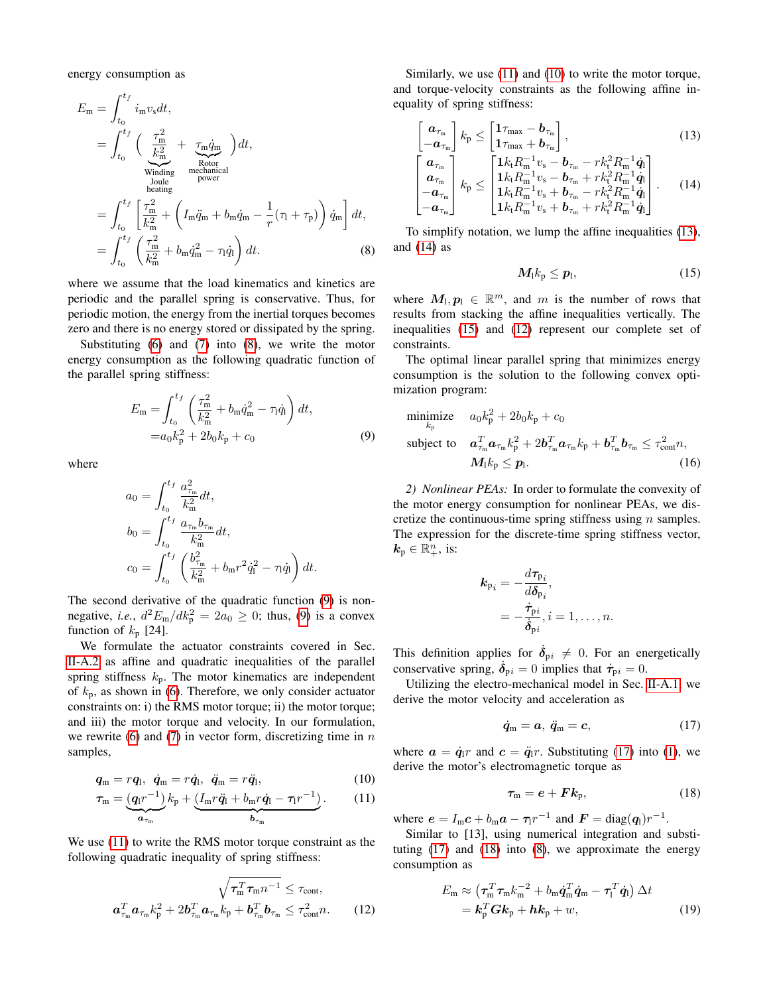energy consumption as

$$
E_{\rm m} = \int_{t_0}^{t_f} i_{\rm m}v_{\rm s}dt,
$$
  
\n
$$
= \int_{t_0}^{t_f} \left( \frac{\tau_{\rm m}^2}{k_{\rm m}^2} + \frac{\tau_{\rm m} \dot{q}_{\rm m}}{\text{Rotor}} \right) dt,
$$
  
\nWinding mechanical  
\n
$$
= \int_{t_0}^{t_f} \left[ \frac{\tau_{\rm m}^2}{k_{\rm m}^2} + \left( I_{\rm m} \ddot{q}_{\rm m} + b_{\rm m} \dot{q}_{\rm m} - \frac{1}{r} (\tau_{\rm l} + \tau_{\rm p}) \right) \dot{q}_{\rm m} \right] dt,
$$
  
\n
$$
= \int_{t_0}^{t_f} \left( \frac{\tau_{\rm m}^2}{k_{\rm m}^2} + b_{\rm m} \dot{q}_{\rm m}^2 - \tau_{\rm l} \dot{q}_{\rm l} \right) dt.
$$
 (8)

where we assume that the load kinematics and kinetics are periodic and the parallel spring is conservative. Thus, for periodic motion, the energy from the inertial torques becomes zero and there is no energy stored or dissipated by the spring.

Substituting [\(6\)](#page-1-10) and [\(7\)](#page-1-12) into [\(8\)](#page-2-1), we write the motor energy consumption as the following quadratic function of the parallel spring stiffness:

$$
E_{\rm m} = \int_{t_0}^{t_f} \left( \frac{\tau_{\rm m}^2}{k_{\rm m}^2} + b_{\rm m} \dot{q}_{\rm m}^2 - \tau_{\rm l} \dot{q}_{\rm l} \right) dt,
$$
  
=  $a_0 k_{\rm p}^2 + 2b_0 k_{\rm p} + c_0$  (9)

where

$$
a_0 = \int_{t_0}^{t_f} \frac{a_{\tau_m}^2}{k_m^2} dt,
$$
  
\n
$$
b_0 = \int_{t_0}^{t_f} \frac{a_{\tau_m} b_{\tau_m}}{k_m^2} dt,
$$
  
\n
$$
c_0 = \int_{t_0}^{t_f} \left( \frac{b_{\tau_m}^2}{k_m^2} + b_m r^2 \dot{q}_1^2 - \tau_l \dot{q}_l \right) dt.
$$

The second derivative of the quadratic function [\(9\)](#page-2-2) is nonnegative, *i.e.*,  $d^2 E_m/dk_p^2 = 2a_0 \ge 0$ ; thus, [\(9\)](#page-2-2) is a convex function of  $k_p$  [24].

We formulate the actuator constraints covered in Sec. [II-A.2](#page-1-2) as affine and quadratic inequalities of the parallel spring stiffness  $k_p$ . The motor kinematics are independent of  $k_p$ , as shown in [\(6\)](#page-1-10). Therefore, we only consider actuator constraints on: i) the RMS motor torque; ii) the motor torque; and iii) the motor torque and velocity. In our formulation, we rewrite [\(6\)](#page-1-10) and [\(7\)](#page-1-12) in vector form, discretizing time in  $n$ samples,

$$
\boldsymbol{q}_{\mathrm{m}}=r\boldsymbol{q}_{\mathrm{l}},\ \dot{\boldsymbol{q}}_{\mathrm{m}}=r\dot{\boldsymbol{q}}_{\mathrm{l}},\ \ddot{\boldsymbol{q}}_{\mathrm{m}}=r\ddot{\boldsymbol{q}}_{\mathrm{l}},\qquad(10)
$$

$$
\tau_{\mathbf{m}} = \underbrace{(q_1 r^{-1})}_{a_{\tau_{\mathbf{m}}}} k_{\mathbf{p}} + \underbrace{(I_{\mathbf{m}} r \ddot{q}_1 + b_{\mathbf{m}} r \dot{q}_1 - \tau_1 r^{-1})}_{b_{\tau_{\mathbf{m}}}}.
$$
 (11)

We use [\(11\)](#page-2-3) to write the RMS motor torque constraint as the following quadratic inequality of spring stiffness:

$$
\sqrt{\tau_{\rm m}^T \tau_{\rm m} n^{-1}} \leq \tau_{\rm cont},
$$

$$
\mathbf{a}_{\tau_{\rm m}}^T \mathbf{a}_{\tau_{\rm m}} k_{\rm p}^2 + 2 \mathbf{b}_{\tau_{\rm m}}^T \mathbf{a}_{\tau_{\rm m}} k_{\rm p} + \mathbf{b}_{\tau_{\rm m}}^T \mathbf{b}_{\tau_{\rm m}} \leq \tau_{\rm cont}^2 n.
$$
 (12)

Similarly, we use [\(11\)](#page-2-3) and [\(10\)](#page-2-4) to write the motor torque, and torque-velocity constraints as the following affine inequality of spring stiffness:

$$
\begin{bmatrix}\n\boldsymbol{a}_{\tau_{\rm m}} \\
-\boldsymbol{a}_{\tau_{\rm m}}\n\end{bmatrix} k_{\rm p} \leq \begin{bmatrix}\n\boldsymbol{1}_{\tau_{\rm max}} - \boldsymbol{b}_{\tau_{\rm m}} \\
\boldsymbol{1}_{\tau_{\rm max}} + \boldsymbol{b}_{\tau_{\rm m}}\n\end{bmatrix},\n\tag{13}
$$

$$
\begin{bmatrix}\n\mathbf{a}_{\tau_{\rm m}} \\
\mathbf{a}_{\tau_{\rm m}} \\
-\mathbf{a}_{\tau_{\rm m}}\n\end{bmatrix} k_{\rm p} \leq \begin{bmatrix}\n1 k_{\rm t} R_{\rm m}^{-1} v_{\rm s} - \mathbf{b}_{\tau_{\rm m}} - r k_{\rm t}^2 R_{\rm m}^{-1} \dot{\mathbf{q}}_{\rm l} \\
1 k_{\rm t} R_{\rm m}^{-1} v_{\rm s} - \mathbf{b}_{\tau_{\rm m}} + r k_{\rm t}^2 R_{\rm m}^{-1} \dot{\mathbf{q}}_{\rm l} \\
1 k_{\rm t} R_{\rm m}^{-1} v_{\rm s} + \mathbf{b}_{\tau_{\rm m}} - r k_{\rm t}^2 R_{\rm m}^{-1} \dot{\mathbf{q}}_{\rm l} \\
1 k_{\rm t} R_{\rm m}^{-1} v_{\rm s} + \mathbf{b}_{\tau_{\rm m}} + r k_{\rm t}^2 R_{\rm m}^{-1} \dot{\mathbf{q}}_{\rm l}\n\end{bmatrix}.
$$
\n(14)

<span id="page-2-1"></span>To simplify notation, we lump the affine inequalities [\(13\)](#page-2-5), and [\(14\)](#page-2-6) as

<span id="page-2-7"></span><span id="page-2-6"></span><span id="page-2-5"></span>
$$
M_1k_\mathrm{p}\leq p_1,\tag{15}
$$

where  $M_1, p_1 \in \mathbb{R}^m$ , and m is the number of rows that results from stacking the affine inequalities vertically. The inequalities [\(15\)](#page-2-7) and [\(12\)](#page-2-8) represent our complete set of constraints.

The optimal linear parallel spring that minimizes energy consumption is the solution to the following convex optimization program:

<span id="page-2-2"></span>
$$
\begin{aligned}\n\text{minimize} & a_0 k_\text{p}^2 + 2b_0 k_\text{p} + c_0 \\
\text{subject to} & \mathbf{a}_{\tau_\text{m}}^T \mathbf{a}_{\tau_\text{m}} k_\text{p}^2 + 2\mathbf{b}_{\tau_\text{m}}^T \mathbf{a}_{\tau_\text{m}} k_\text{p} + \mathbf{b}_{\tau_\text{m}}^T \mathbf{b}_{\tau_\text{m}} \le \tau_\text{cont}^2 n, \\
& M_1 k_\text{p} \le p_1.\n\end{aligned} \tag{16}
$$

<span id="page-2-0"></span>*2) Nonlinear PEAs:* In order to formulate the convexity of the motor energy consumption for nonlinear PEAs, we discretize the continuous-time spring stiffness using  $n$  samples. The expression for the discrete-time spring stiffness vector,  $k_{\rm p} \in \mathbb{R}^n_+,$  is:

<span id="page-2-12"></span>
$$
\begin{aligned} \mathbf{k}_{\mathrm{p}_i} &= -\frac{d\tau_{\mathrm{p}_i}}{d\delta_{\mathrm{p}_i}}, \\ &= -\frac{\dot{\tau}_{\mathrm{p}_i}}{\dot{\delta}_{\mathrm{p}_i}}, i = 1, \ldots, n. \end{aligned}
$$

This definition applies for  $\delta_{pi} \neq 0$ . For an energetically conservative spring,  $\dot{\delta}_{pi} = 0$  implies that  $\dot{\tau}_{pi} = 0$ .

Utilizing the electro-mechanical model in Sec. [II-A.1,](#page-1-1) we derive the motor velocity and acceleration as

<span id="page-2-9"></span>
$$
\dot{q}_m = a, \ \ddot{q}_m = c,\tag{17}
$$

<span id="page-2-4"></span>where  $\mathbf{a} = \dot{\mathbf{q}}_1 r$  and  $\mathbf{c} = \ddot{\mathbf{q}}_1 r$ . Substituting [\(17\)](#page-2-9) into [\(1\)](#page-1-4), we derive the motor's electromagnetic torque as

<span id="page-2-11"></span><span id="page-2-10"></span>
$$
\tau_{\rm m}=e+Fk_{\rm p},\qquad \qquad (18)
$$

<span id="page-2-3"></span>where  $e = I_m c + b_m a - \tau_l r^{-1}$  and  $\mathbf{F} = \text{diag}(q_l) r^{-1}$ .

<span id="page-2-8"></span>Similar to [13], using numerical integration and substituting  $(17)$  and  $(18)$  into  $(8)$ , we approximate the energy consumption as

$$
E_{\rm m} \approx \left(\tau_{\rm m}^T \tau_{\rm m} k_{\rm m}^{-2} + b_{\rm m} \dot{q}_{\rm m}^T \dot{q}_{\rm m} - \tau_{\rm l}^T \dot{q}_{\rm l}\right) \Delta t
$$
  
=  $\mathbf{k}_{\rm p}^T \mathbf{G} \mathbf{k}_{\rm p} + \mathbf{h} \mathbf{k}_{\rm p} + w,$  (19)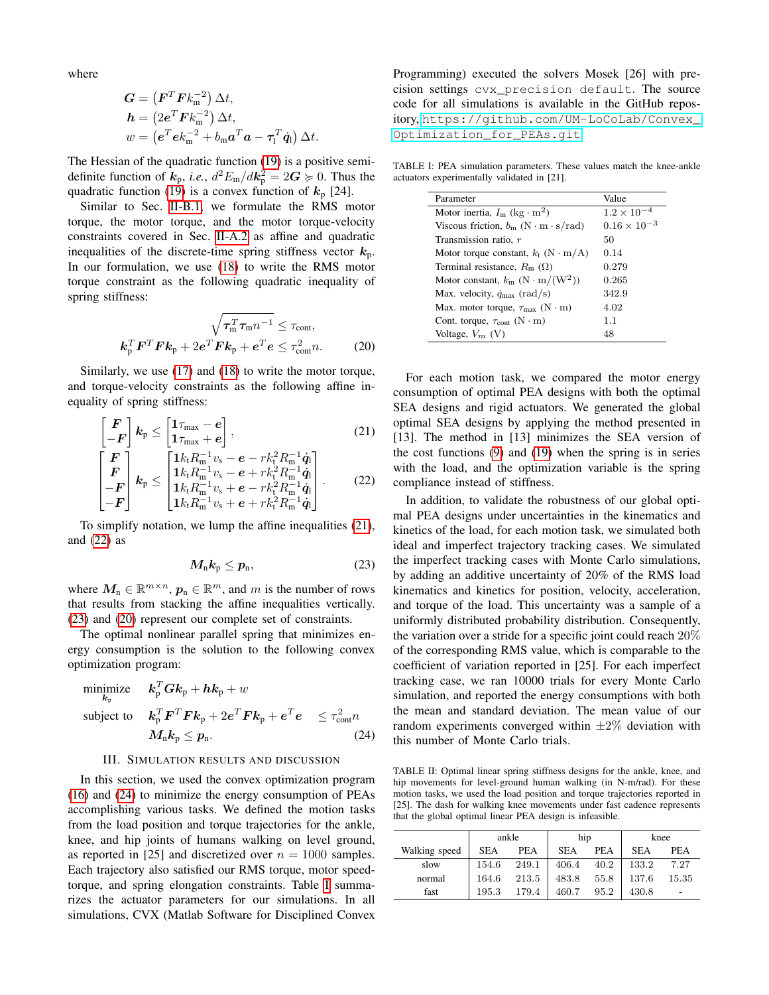where

$$
G = (FT F km-2) \Delta t,
$$
  
\n
$$
h = (2eT F km-2) \Delta t,
$$
  
\n
$$
w = (eT e km-2 + bm aT a - \tau1T \dot{q}1) \Delta t.
$$

The Hessian of the quadratic function [\(19\)](#page-2-11) is a positive semidefinite function of  $k_p$ , *i.e.*,  $d^2 E_m/dk_p^2 = 2G \ge 0$ . Thus the quadratic function [\(19\)](#page-2-11) is a convex function of  $k_p$  [24].

Similar to Sec. [II-B.1,](#page-1-9) we formulate the RMS motor torque, the motor torque, and the motor torque-velocity constraints covered in Sec. [II-A.2](#page-1-2) as affine and quadratic inequalities of the discrete-time spring stiffness vector  $k_p$ . In our formulation, we use [\(18\)](#page-2-10) to write the RMS motor torque constraint as the following quadratic inequality of spring stiffness:

$$
\sqrt{\tau_{\rm m}^T \tau_{\rm m} n^{-1}} \le \tau_{\rm cont},
$$

$$
\mathbf{k}_{\rm p}^T \mathbf{F}^T \mathbf{F} \mathbf{k}_{\rm p} + 2 e^T \mathbf{F} \mathbf{k}_{\rm p} + e^T e \le \tau_{\rm cont}^2 n.
$$
 (20)

Similarly, we use [\(17\)](#page-2-9) and [\(18\)](#page-2-10) to write the motor torque, and torque-velocity constraints as the following affine inequality of spring stiffness:

$$
\begin{bmatrix}\nF \\
-F\n\end{bmatrix}\n k_{\rm p} \leq \begin{bmatrix}\n1\tau_{\rm max} - e \\
1\tau_{\rm max} + e\n\end{bmatrix},
$$
\n(21)\n
$$
\begin{bmatrix}\nF\n\end{bmatrix}\n \begin{bmatrix}\n1k_{\rm t}R_{\rm m}^{-1}v_{\rm s} - e - rk_{\rm t}^2R_{\rm m}^{-1}\dot{q}_{\rm l}\n\end{bmatrix}
$$

$$
\begin{bmatrix}\nF \\
F \\
-F\n\end{bmatrix}\nk_{p} \leq \begin{bmatrix}\n1\kappa_{t}R_{m} & v_{s} - e - r\kappa_{t}R_{m} & q_{1} \\
1k_{t}R_{m}^{-1}v_{s} - e + rk_{t}^{2}R_{m}^{-1}\dot{q}_{1} \\
1k_{t}R_{m}^{-1}v_{s} + e - rk_{t}^{2}R_{m}^{-1}\dot{q}_{1} \\
1k_{t}R_{m}^{-1}v_{s} + e + rk_{t}^{2}R_{m}^{-1}\dot{q}_{1}\n\end{bmatrix}.\n\tag{22}
$$

To simplify notation, we lump the affine inequalities [\(21\)](#page-3-1), and [\(22\)](#page-3-2) as

$$
M_{\rm n}k_{\rm p}\leq p_{\rm n},\qquad \qquad (23)
$$

where  $M_n \in \mathbb{R}^{m \times n}$ ,  $p_n \in \mathbb{R}^m$ , and m is the number of rows that results from stacking the affine inequalities vertically. [\(23\)](#page-3-3) and [\(20\)](#page-3-4) represent our complete set of constraints.

The optimal nonlinear parallel spring that minimizes energy consumption is the solution to the following convex optimization program:

$$
\begin{aligned}\n\text{minimize} & \quad \boldsymbol{k}_{\mathrm{p}}^T \boldsymbol{G} \boldsymbol{k}_{\mathrm{p}} + \boldsymbol{h} \boldsymbol{k}_{\mathrm{p}} + w \\
\text{subject to} & \quad \boldsymbol{k}_{\mathrm{p}}^T \boldsymbol{F}^T \boldsymbol{F} \boldsymbol{k}_{\mathrm{p}} + 2 \boldsymbol{e}^T \boldsymbol{F} \boldsymbol{k}_{\mathrm{p}} + \boldsymbol{e}^T \boldsymbol{e} \quad \leq \tau_{\mathrm{cont}}^2 n \\
&\quad M_{\mathrm{n}} \boldsymbol{k}_{\mathrm{p}} \leq \boldsymbol{p}_{\mathrm{n}}.\n\end{aligned} \tag{24}
$$

## III. SIMULATION RESULTS AND DISCUSSION

<span id="page-3-0"></span>In this section, we used the convex optimization program [\(16\)](#page-2-12) and [\(24\)](#page-3-5) to minimize the energy consumption of PEAs accomplishing various tasks. We defined the motion tasks from the load position and torque trajectories for the ankle, knee, and hip joints of humans walking on level ground, as reported in [25] and discretized over  $n = 1000$  samples. Each trajectory also satisfied our RMS torque, motor speedtorque, and spring elongation constraints. Table [I](#page-3-6) summarizes the actuator parameters for our simulations. In all simulations, CVX (Matlab Software for Disciplined Convex Programming) executed the solvers Mosek [26] with precision settings cvx\_precision default. The source code for all simulations is available in the GitHub repository, [https://github.com/UM-LoCoLab/Convex\\_](https://github.com/UM-LoCoLab/Convex_Optimization_for_PEAs.git) [Optimization\\_for\\_PEAs.git](https://github.com/UM-LoCoLab/Convex_Optimization_for_PEAs.git).

<span id="page-3-6"></span>TABLE I: PEA simulation parameters. These values match the knee-ankle actuators experimentally validated in [21].

| Parameter                                       | Value                 |
|-------------------------------------------------|-----------------------|
| Motor inertia, $I_m$ (kg · m <sup>2</sup> )     | $1.2 \times 10^{-4}$  |
| Viscous friction, $b_m$ (N · m · s/rad)         | $0.16 \times 10^{-3}$ |
| Transmission ratio. r                           | 50                    |
| Motor torque constant, $k_t$ (N · m/A)          | 0.14                  |
| Terminal resistance, $R_m(\Omega)$              | 0.279                 |
| Motor constant, $k_m$ (N · m/(W <sup>2</sup> )) | 0.265                 |
| Max. velocity, $\dot{q}_{\text{max}}$ (rad/s)   | 342.9                 |
| Max. motor torque, $\tau_{\text{max}}$ (N · m)  | 4.02                  |
| Cont. torque, $\tau_{cont}$ (N · m)             | 1.1                   |
| Voltage, $V_m$ (V)                              | 48                    |

<span id="page-3-4"></span><span id="page-3-1"></span>For each motion task, we compared the motor energy consumption of optimal PEA designs with both the optimal SEA designs and rigid actuators. We generated the global optimal SEA designs by applying the method presented in [13]. The method in [13] minimizes the SEA version of the cost functions [\(9\)](#page-2-2) and [\(19\)](#page-2-11) when the spring is in series with the load, and the optimization variable is the spring compliance instead of stiffness.

<span id="page-3-3"></span><span id="page-3-2"></span>In addition, to validate the robustness of our global optimal PEA designs under uncertainties in the kinematics and kinetics of the load, for each motion task, we simulated both ideal and imperfect trajectory tracking cases. We simulated the imperfect tracking cases with Monte Carlo simulations, by adding an additive uncertainty of 20% of the RMS load kinematics and kinetics for position, velocity, acceleration, and torque of the load. This uncertainty was a sample of a uniformly distributed probability distribution. Consequently, the variation over a stride for a specific joint could reach 20% of the corresponding RMS value, which is comparable to the coefficient of variation reported in [25]. For each imperfect tracking case, we ran 10000 trials for every Monte Carlo simulation, and reported the energy consumptions with both the mean and standard deviation. The mean value of our random experiments converged within  $\pm 2\%$  deviation with this number of Monte Carlo trials.

<span id="page-3-7"></span><span id="page-3-5"></span>TABLE II: Optimal linear spring stiffness designs for the ankle, knee, and hip movements for level-ground human walking (in N-m/rad). For these motion tasks, we used the load position and torque trajectories reported in [25]. The dash for walking knee movements under fast cadence represents that the global optimal linear PEA design is infeasible.

|               | ankle      |            | hip        |      | knee       |       |
|---------------|------------|------------|------------|------|------------|-------|
| Walking speed | <b>SEA</b> | <b>PEA</b> | <b>SEA</b> | PEA  | <b>SEA</b> | PEA   |
| slow          | 154.6      | 249.1      | 406.4      | 40.2 | 133.2      | 7.27  |
| normal        | 164.6      | 213.5      | 483.8      | 55.8 | 137.6      | 15.35 |
| fast          | 195.3      | 179.4      | 460.7      | 95.2 | 430.8      |       |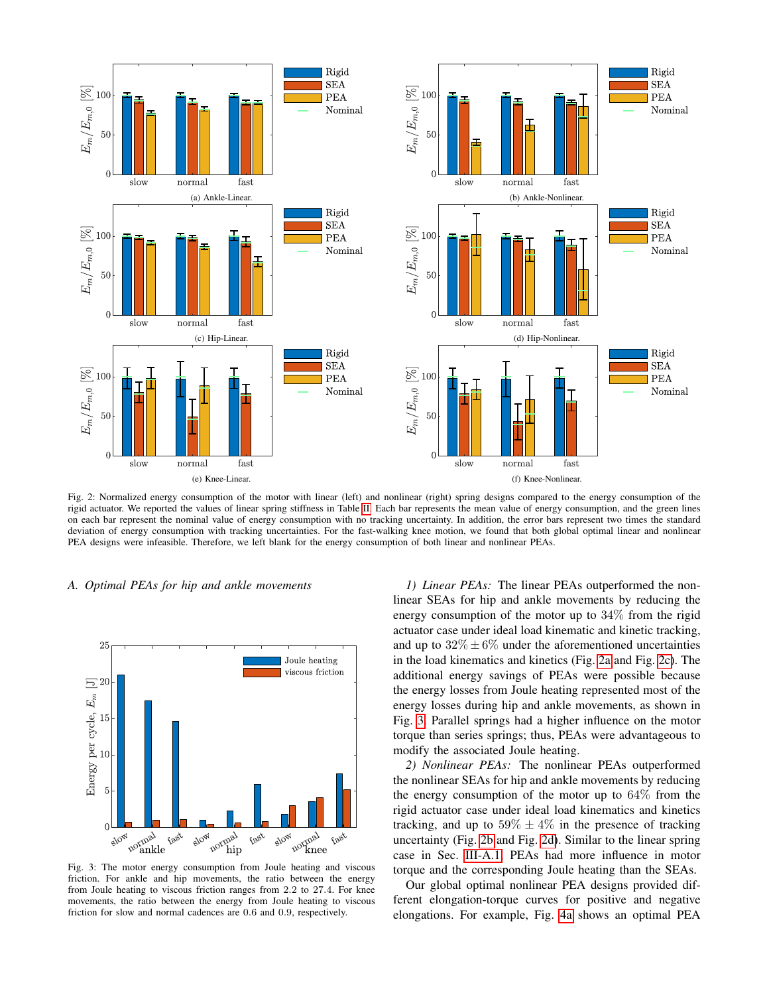<span id="page-4-0"></span>

Fig. 2: Normalized energy consumption of the motor with linear (left) and nonlinear (right) spring designs compared to the energy consumption of the rigid actuator. We reported the values of linear spring stiffness in Table [II.](#page-3-7) Each bar represents the mean value of energy consumption, and the green lines on each bar represent the nominal value of energy consumption with no tracking uncertainty. In addition, the error bars represent two times the standard deviation of energy consumption with tracking uncertainties. For the fast-walking knee motion, we found that both global optimal linear and nonlinear PEA designs were infeasible. Therefore, we left blank for the energy consumption of both linear and nonlinear PEAs.

## *A. Optimal PEAs for hip and ankle movements*

<span id="page-4-2"></span><span id="page-4-1"></span>

Fig. 3: The motor energy consumption from Joule heating and viscous friction. For ankle and hip movements, the ratio between the energy from Joule heating to viscous friction ranges from 2.2 to 27.4. For knee movements, the ratio between the energy from Joule heating to viscous friction for slow and normal cadences are 0.6 and 0.9, respectively.

*1) Linear PEAs:* The linear PEAs outperformed the nonlinear SEAs for hip and ankle movements by reducing the energy consumption of the motor up to 34% from the rigid actuator case under ideal load kinematic and kinetic tracking, and up to  $32\% \pm 6\%$  under the aforementioned uncertainties in the load kinematics and kinetics (Fig. [2a](#page-4-0) and Fig. [2c\)](#page-4-0). The additional energy savings of PEAs were possible because the energy losses from Joule heating represented most of the energy losses during hip and ankle movements, as shown in Fig. [3.](#page-4-1) Parallel springs had a higher influence on the motor torque than series springs; thus, PEAs were advantageous to modify the associated Joule heating.

<span id="page-4-3"></span>*2) Nonlinear PEAs:* The nonlinear PEAs outperformed the nonlinear SEAs for hip and ankle movements by reducing the energy consumption of the motor up to 64% from the rigid actuator case under ideal load kinematics and kinetics tracking, and up to  $59\% \pm 4\%$  in the presence of tracking uncertainty (Fig. [2b](#page-4-0) and Fig. [2d\)](#page-4-0). Similar to the linear spring case in Sec. [III-A.1,](#page-4-2) PEAs had more influence in motor torque and the corresponding Joule heating than the SEAs.

Our global optimal nonlinear PEA designs provided different elongation-torque curves for positive and negative elongations. For example, Fig. [4a](#page-5-0) shows an optimal PEA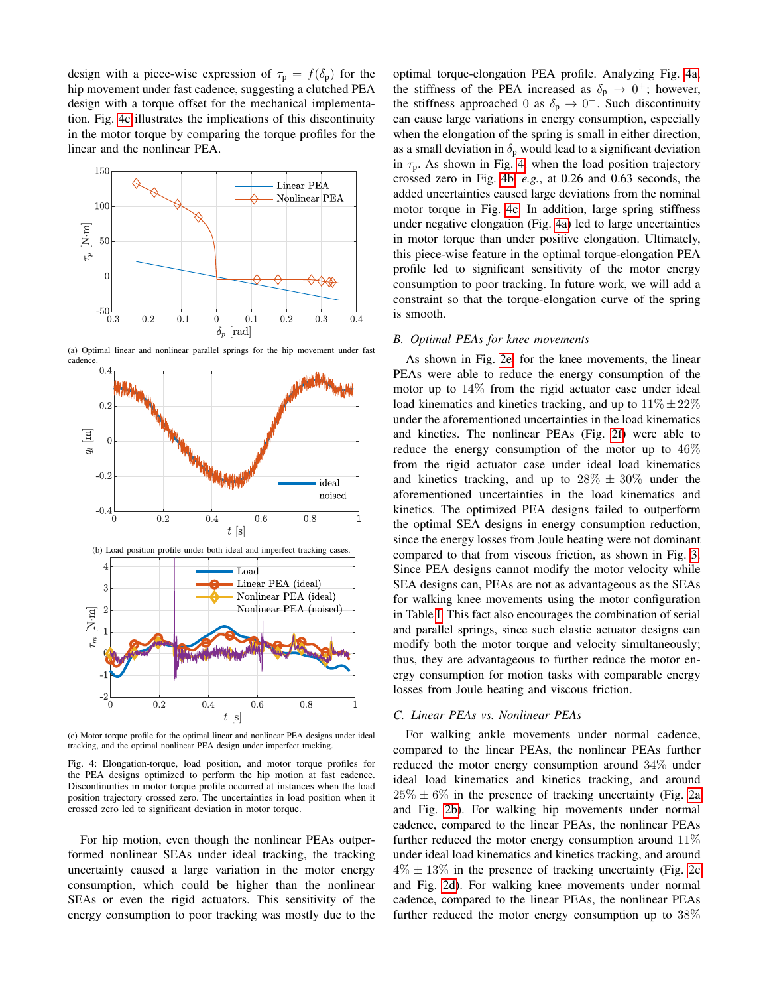design with a piece-wise expression of  $\tau_p = f(\delta_p)$  for the hip movement under fast cadence, suggesting a clutched PEA design with a torque offset for the mechanical implementation. Fig. [4c](#page-5-0) illustrates the implications of this discontinuity in the motor torque by comparing the torque profiles for the linear and the nonlinear PEA.

<span id="page-5-0"></span>

(a) Optimal linear and nonlinear parallel springs for the hip movement under fast cadence.  $0.4$ 



(c) Motor torque profile for the optimal linear and nonlinear PEA designs under ideal tracking, and the optimal nonlinear PEA design under imperfect tracking.

Fig. 4: Elongation-torque, load position, and motor torque profiles for the PEA designs optimized to perform the hip motion at fast cadence. Discontinuities in motor torque profile occurred at instances when the load position trajectory crossed zero. The uncertainties in load position when it crossed zero led to significant deviation in motor torque.

For hip motion, even though the nonlinear PEAs outperformed nonlinear SEAs under ideal tracking, the tracking uncertainty caused a large variation in the motor energy consumption, which could be higher than the nonlinear SEAs or even the rigid actuators. This sensitivity of the energy consumption to poor tracking was mostly due to the optimal torque-elongation PEA profile. Analyzing Fig. [4a,](#page-5-0) the stiffness of the PEA increased as  $\delta_p \rightarrow 0^+$ ; however, the stiffness approached 0 as  $\delta_p \to 0^-$ . Such discontinuity can cause large variations in energy consumption, especially when the elongation of the spring is small in either direction, as a small deviation in  $\delta_p$  would lead to a significant deviation in  $\tau_p$ . As shown in Fig. [4,](#page-5-0) when the load position trajectory crossed zero in Fig. [4b,](#page-5-0) *e.g.*, at 0.26 and 0.63 seconds, the added uncertainties caused large deviations from the nominal motor torque in Fig. [4c.](#page-5-0) In addition, large spring stiffness under negative elongation (Fig. [4a\)](#page-5-0) led to large uncertainties in motor torque than under positive elongation. Ultimately, this piece-wise feature in the optimal torque-elongation PEA profile led to significant sensitivity of the motor energy consumption to poor tracking. In future work, we will add a constraint so that the torque-elongation curve of the spring is smooth.

## *B. Optimal PEAs for knee movements*

As shown in Fig. [2e,](#page-4-0) for the knee movements, the linear PEAs were able to reduce the energy consumption of the motor up to 14% from the rigid actuator case under ideal load kinematics and kinetics tracking, and up to  $11\% \pm 22\%$ under the aforementioned uncertainties in the load kinematics and kinetics. The nonlinear PEAs (Fig. [2f\)](#page-4-0) were able to reduce the energy consumption of the motor up to 46% from the rigid actuator case under ideal load kinematics and kinetics tracking, and up to  $28\% \pm 30\%$  under the aforementioned uncertainties in the load kinematics and kinetics. The optimized PEA designs failed to outperform the optimal SEA designs in energy consumption reduction, since the energy losses from Joule heating were not dominant compared to that from viscous friction, as shown in Fig. [3.](#page-4-1) Since PEA designs cannot modify the motor velocity while SEA designs can, PEAs are not as advantageous as the SEAs for walking knee movements using the motor configuration in Table [I.](#page-3-6) This fact also encourages the combination of serial and parallel springs, since such elastic actuator designs can modify both the motor torque and velocity simultaneously; thus, they are advantageous to further reduce the motor energy consumption for motion tasks with comparable energy losses from Joule heating and viscous friction.

### *C. Linear PEAs vs. Nonlinear PEAs*

For walking ankle movements under normal cadence, compared to the linear PEAs, the nonlinear PEAs further reduced the motor energy consumption around 34% under ideal load kinematics and kinetics tracking, and around  $25\% \pm 6\%$  in the presence of tracking uncertainty (Fig. [2a](#page-4-0) and Fig. [2b\)](#page-4-0). For walking hip movements under normal cadence, compared to the linear PEAs, the nonlinear PEAs further reduced the motor energy consumption around 11% under ideal load kinematics and kinetics tracking, and around  $4\% \pm 13\%$  in the presence of tracking uncertainty (Fig. [2c](#page-4-0) and Fig. [2d\)](#page-4-0). For walking knee movements under normal cadence, compared to the linear PEAs, the nonlinear PEAs further reduced the motor energy consumption up to 38%